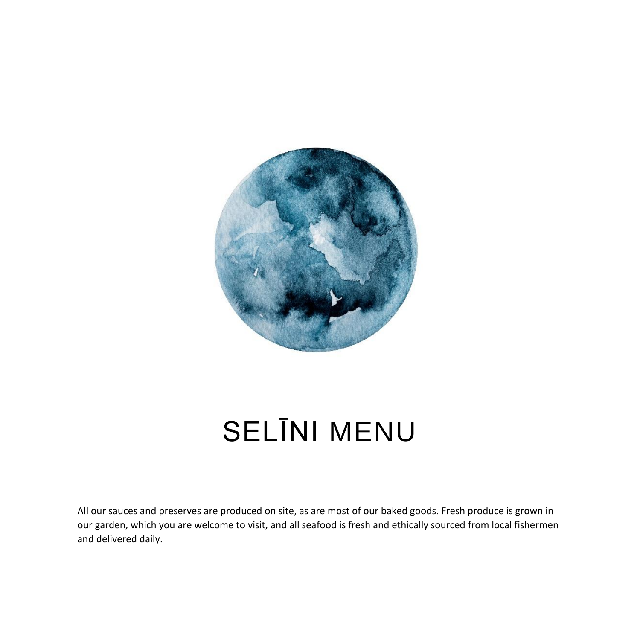

# SELĪNI MENU

All our sauces and preserves are produced on site, as are most of our baked goods. Fresh produce is grown in our garden, which you are welcome to visit, and all seafood is fresh and ethically sourced from local fishermen and delivered daily.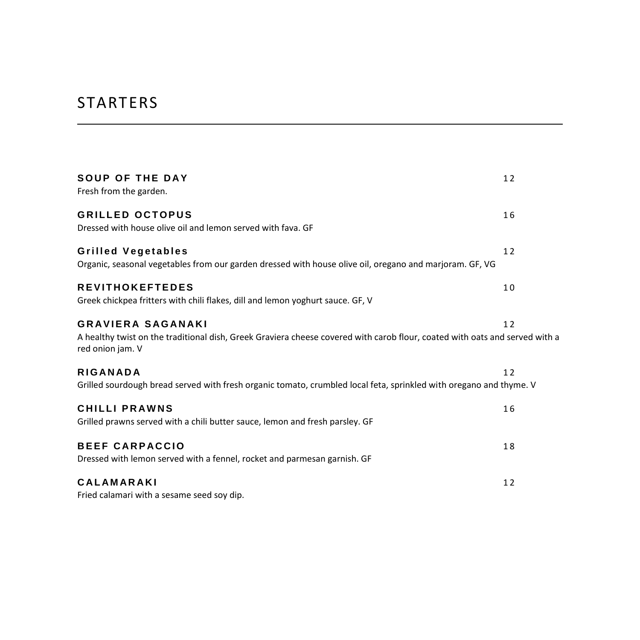## STARTERS

| <b>SOUP OF THE DAY</b><br>Fresh from the garden.                                                                                                                            | 12 |
|-----------------------------------------------------------------------------------------------------------------------------------------------------------------------------|----|
| <b>GRILLED OCTOPUS</b><br>Dressed with house olive oil and lemon served with fava. GF                                                                                       | 16 |
| <b>Grilled Vegetables</b><br>Organic, seasonal vegetables from our garden dressed with house olive oil, oregano and marjoram. GF, VG                                        | 12 |
| <b>REVITHOKEFTEDES</b><br>Greek chickpea fritters with chili flakes, dill and lemon yoghurt sauce. GF, V                                                                    | 10 |
| <b>GRAVIERA SAGANAKI</b><br>A healthy twist on the traditional dish, Greek Graviera cheese covered with carob flour, coated with oats and served with a<br>red onion jam. V | 12 |
| <b>RIGANADA</b><br>Grilled sourdough bread served with fresh organic tomato, crumbled local feta, sprinkled with oregano and thyme. V                                       | 12 |
| <b>CHILLI PRAWNS</b><br>Grilled prawns served with a chili butter sauce, lemon and fresh parsley. GF                                                                        | 16 |
| <b>BEEF CARPACCIO</b><br>Dressed with lemon served with a fennel, rocket and parmesan garnish. GF                                                                           | 18 |
| <b>CALAMARAKI</b><br>Fried calamari with a sesame seed soy dip.                                                                                                             | 12 |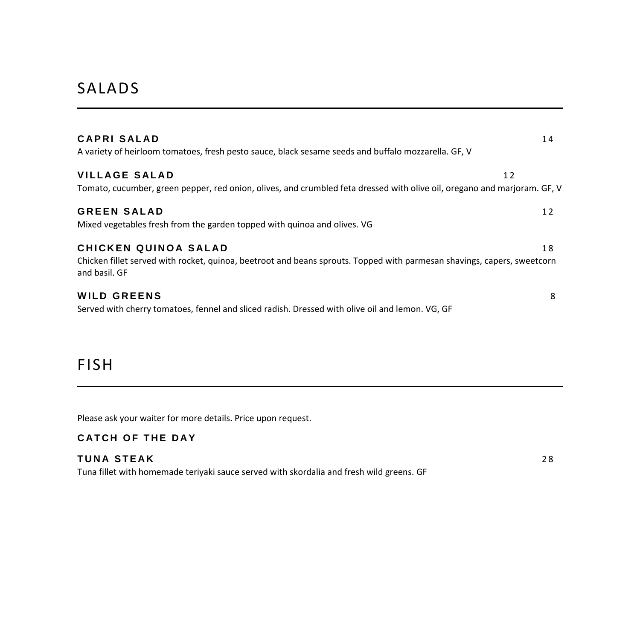### SALADS

| CAPRI SALAD<br>A variety of heirloom tomatoes, fresh pesto sauce, black sesame seeds and buffalo mozzarella. GF, V                                               | 14 |
|------------------------------------------------------------------------------------------------------------------------------------------------------------------|----|
| <b>VILLAGE SALAD</b><br>Tomato, cucumber, green pepper, red onion, olives, and crumbled feta dressed with olive oil, oregano and marjoram. GF, V                 | 12 |
| <b>GREEN SALAD</b><br>Mixed vegetables fresh from the garden topped with quinoa and olives. VG                                                                   | 12 |
| CHICKEN QUINOA SALAD<br>Chicken fillet served with rocket, quinoa, beetroot and beans sprouts. Topped with parmesan shavings, capers, sweetcorn<br>and basil. GF | 18 |
| <b>WILD GREENS</b><br>Served with cherry tomatoes, fennel and sliced radish. Dressed with olive oil and lemon. VG, GF                                            | 8  |

#### FISH

Please ask your waiter for more details. Price upon request.

#### **CATCH OF THE DAY**

#### **TUNA STEAK** 28

Tuna fillet with homemade teriyaki sauce served with skordalia and fresh wild greens. GF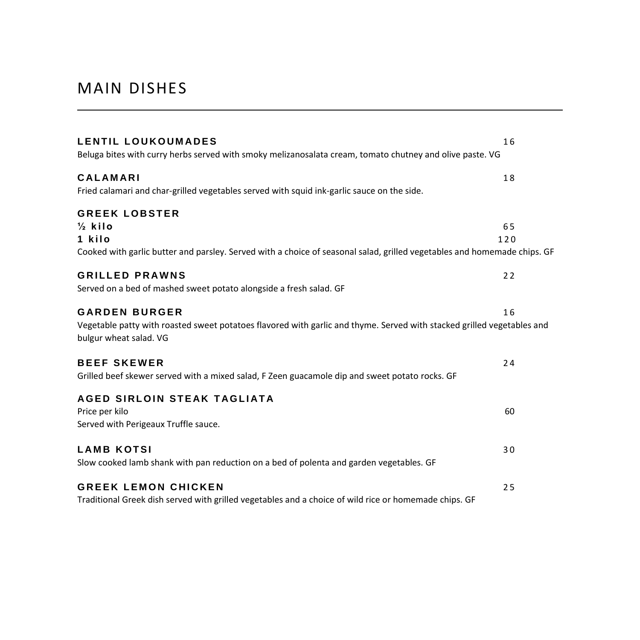### MAIN DISHES

| LENTIL LOUKOUMADES<br>Beluga bites with curry herbs served with smoky melizanosalata cream, tomato chutney and olive paste. VG                   | 16        |
|--------------------------------------------------------------------------------------------------------------------------------------------------|-----------|
| <b>CALAMARI</b>                                                                                                                                  | 18        |
| Fried calamari and char-grilled vegetables served with squid ink-garlic sauce on the side.                                                       |           |
| <b>GREEK LOBSTER</b>                                                                                                                             |           |
| $\frac{1}{2}$ kilo<br>1 kilo                                                                                                                     | 65<br>120 |
| Cooked with garlic butter and parsley. Served with a choice of seasonal salad, grilled vegetables and homemade chips. GF                         |           |
| <b>GRILLED PRAWNS</b>                                                                                                                            | 22        |
| Served on a bed of mashed sweet potato alongside a fresh salad. GF                                                                               |           |
| <b>GARDEN BURGER</b>                                                                                                                             | 16        |
| Vegetable patty with roasted sweet potatoes flavored with garlic and thyme. Served with stacked grilled vegetables and<br>bulgur wheat salad. VG |           |
| <b>BEEF SKEWER</b>                                                                                                                               | 24        |
| Grilled beef skewer served with a mixed salad, F Zeen guacamole dip and sweet potato rocks. GF                                                   |           |
| AGED SIRLOIN STEAK TAGLIATA                                                                                                                      |           |
| Price per kilo                                                                                                                                   | 60        |
| Served with Perigeaux Truffle sauce.                                                                                                             |           |
| <b>LAMB KOTSI</b>                                                                                                                                | 30        |
| Slow cooked lamb shank with pan reduction on a bed of polenta and garden vegetables. GF                                                          |           |
| <b>GREEK LEMON CHICKEN</b>                                                                                                                       | 25        |
| Traditional Greek dish served with grilled vegetables and a choice of wild rice or homemade chips. GF                                            |           |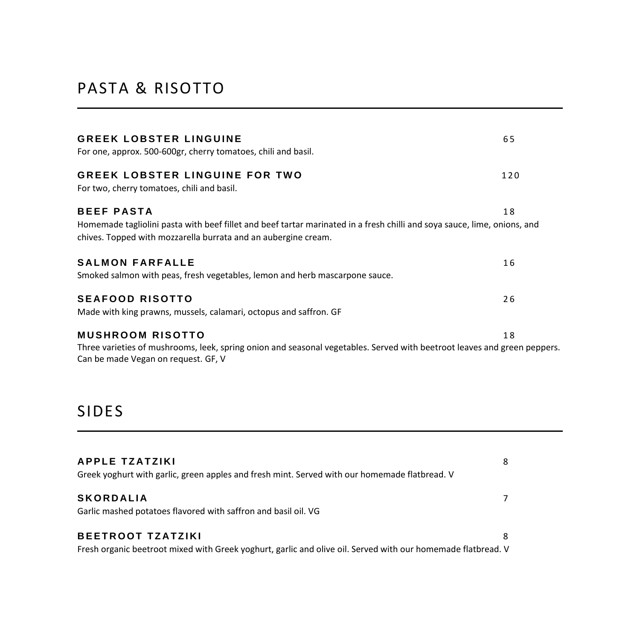## PASTA & RISOTTO

| GREEK LOBSTER LINGUINE<br>For one, approx. 500-600gr, cherry tomatoes, chili and basil.                                                                                                                  | 65  |
|----------------------------------------------------------------------------------------------------------------------------------------------------------------------------------------------------------|-----|
| GREEK LOBSTER LINGUINE FOR TWO<br>For two, cherry tomatoes, chili and basil.                                                                                                                             | 120 |
| BEEF PASTA<br>Homemade tagliolini pasta with beef fillet and beef tartar marinated in a fresh chilli and soya sauce, lime, onions, and<br>chives. Topped with mozzarella burrata and an aubergine cream. | 18  |
| <b>SALMON FARFALLE</b><br>Smoked salmon with peas, fresh vegetables, lemon and herb mascarpone sauce.                                                                                                    | 16  |
| <b>SEAFOOD RISOTTO</b><br>Made with king prawns, mussels, calamari, octopus and saffron. GF                                                                                                              | 26  |
| MUSHROOM RISOTTO<br>Three varieties of mushrooms, leek, spring onion and seasonal vegetables. Served with beetroot leaves and green peppers.<br>Can be made Vegan on request. GF, V                      | 18  |

## SIDES

| <b>APPLE TZATZIKI</b><br>Greek yoghurt with garlic, green apples and fresh mint. Served with our homemade flatbread. V                   | 8 |
|------------------------------------------------------------------------------------------------------------------------------------------|---|
| <b>SKORDALIA</b><br>Garlic mashed potatoes flavored with saffron and basil oil. VG                                                       |   |
| <b>BEETROOT TZATZIKI</b><br>Fresh organic beetroot mixed with Greek yoghurt, garlic and olive oil. Served with our homemade flatbread. V | 8 |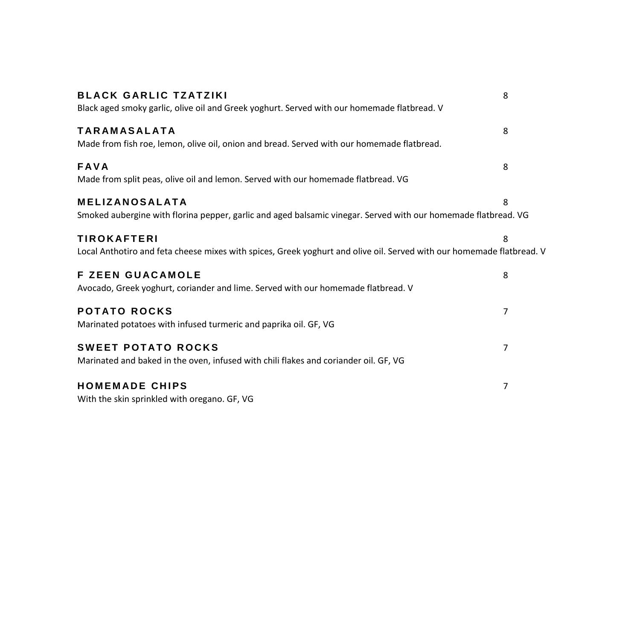| <b>BLACK GARLIC TZATZIKI</b>                                                                                          | 8 |
|-----------------------------------------------------------------------------------------------------------------------|---|
| Black aged smoky garlic, olive oil and Greek yoghurt. Served with our homemade flatbread. V                           |   |
| <b>TARAMASALATA</b>                                                                                                   | 8 |
| Made from fish roe, lemon, olive oil, onion and bread. Served with our homemade flatbread.                            |   |
| <b>FAVA</b>                                                                                                           | 8 |
| Made from split peas, olive oil and lemon. Served with our homemade flatbread. VG                                     |   |
| <b>MELIZANOSALATA</b>                                                                                                 | 8 |
| Smoked aubergine with florina pepper, garlic and aged balsamic vinegar. Served with our homemade flatbread. VG        |   |
| <b>TIROKAFTERI</b>                                                                                                    | 8 |
| Local Anthotiro and feta cheese mixes with spices, Greek yoghurt and olive oil. Served with our homemade flatbread. V |   |
| <b>F ZEEN GUACAMOLE</b>                                                                                               | 8 |
| Avocado, Greek yoghurt, coriander and lime. Served with our homemade flatbread. V                                     |   |
| <b>POTATO ROCKS</b>                                                                                                   | 7 |
| Marinated potatoes with infused turmeric and paprika oil. GF, VG                                                      |   |
| <b>SWEET POTATO ROCKS</b>                                                                                             | 7 |
| Marinated and baked in the oven, infused with chili flakes and coriander oil. GF, VG                                  |   |
| <b>HOMEMADE CHIPS</b>                                                                                                 | 7 |
| With the skin sprinkled with oregano. GF, VG                                                                          |   |
|                                                                                                                       |   |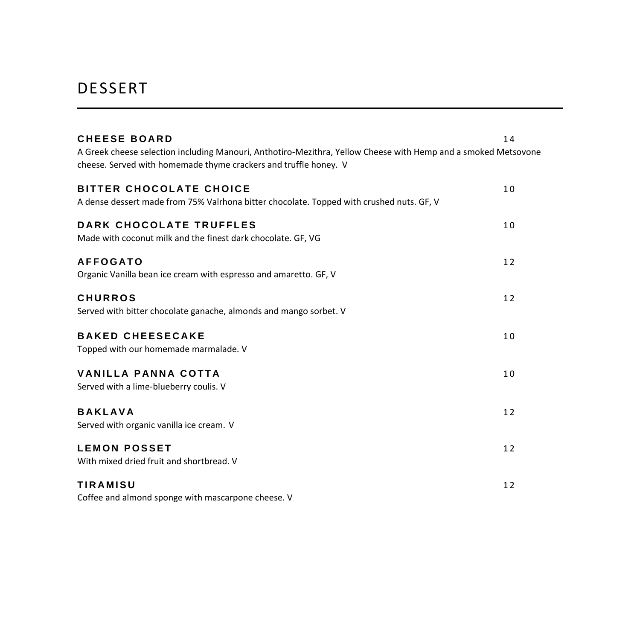### DESSERT

| <b>CHEESE BOARD</b><br>A Greek cheese selection including Manouri, Anthotiro-Mezithra, Yellow Cheese with Hemp and a smoked Metsovone<br>cheese. Served with homemade thyme crackers and truffle honey. V | 14 |
|-----------------------------------------------------------------------------------------------------------------------------------------------------------------------------------------------------------|----|
| <b>BITTER CHOCOLATE CHOICE</b><br>A dense dessert made from 75% Valrhona bitter chocolate. Topped with crushed nuts. GF, V                                                                                | 10 |
| DARK CHOCOLATE TRUFFLES<br>Made with coconut milk and the finest dark chocolate. GF, VG                                                                                                                   | 10 |
| <b>AFFOGATO</b><br>Organic Vanilla bean ice cream with espresso and amaretto. GF, V                                                                                                                       | 12 |
| <b>CHURROS</b><br>Served with bitter chocolate ganache, almonds and mango sorbet. V                                                                                                                       | 12 |
| <b>BAKED CHEESECAKE</b><br>Topped with our homemade marmalade. V                                                                                                                                          | 10 |
| <b>VANILLA PANNA COTTA</b><br>Served with a lime-blueberry coulis. V                                                                                                                                      | 10 |
| <b>BAKLAVA</b><br>Served with organic vanilla ice cream. V                                                                                                                                                | 12 |
| <b>LEMON POSSET</b><br>With mixed dried fruit and shortbread. V                                                                                                                                           | 12 |
| <b>TIRAMISU</b><br>Coffee and almond sponge with mascarpone cheese. V                                                                                                                                     | 12 |